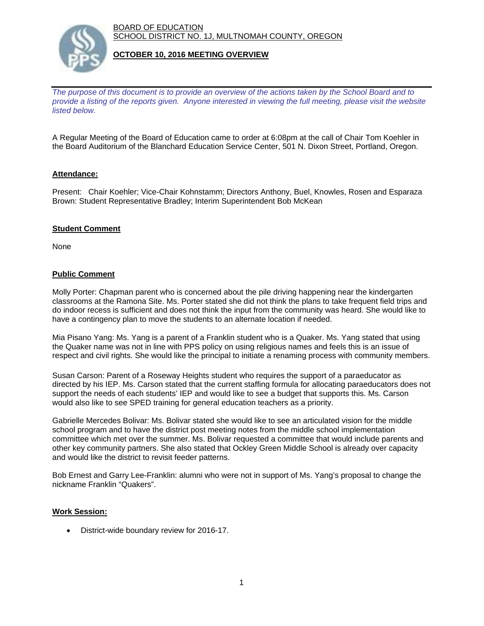BOARD OF EDUCATION SCHOOL DISTRICT NO. 1J, MULTNOMAH COUNTY, OREGON



## **OCTOBER 10, 2016 MEETING OVERVIEW**

*The purpose of this document is to provide an overview of the actions taken by the School Board and to provide a listing of the reports given. Anyone interested in viewing the full meeting, please visit the website listed below.*

A Regular Meeting of the Board of Education came to order at 6:08pm at the call of Chair Tom Koehler in the Board Auditorium of the Blanchard Education Service Center, 501 N. Dixon Street, Portland, Oregon.

## **Attendance:**

Present: Chair Koehler; Vice-Chair Kohnstamm; Directors Anthony, Buel, Knowles, Rosen and Esparaza Brown: Student Representative Bradley; Interim Superintendent Bob McKean

## **Student Comment**

None

## **Public Comment**

Molly Porter: Chapman parent who is concerned about the pile driving happening near the kindergarten classrooms at the Ramona Site. Ms. Porter stated she did not think the plans to take frequent field trips and do indoor recess is sufficient and does not think the input from the community was heard. She would like to have a contingency plan to move the students to an alternate location if needed.

Mia Pisano Yang: Ms. Yang is a parent of a Franklin student who is a Quaker. Ms. Yang stated that using the Quaker name was not in line with PPS policy on using religious names and feels this is an issue of respect and civil rights. She would like the principal to initiate a renaming process with community members.

Susan Carson: Parent of a Roseway Heights student who requires the support of a paraeducator as directed by his IEP. Ms. Carson stated that the current staffing formula for allocating paraeducators does not support the needs of each students' IEP and would like to see a budget that supports this. Ms. Carson would also like to see SPED training for general education teachers as a priority.

Gabrielle Mercedes Bolivar: Ms. Bolivar stated she would like to see an articulated vision for the middle school program and to have the district post meeting notes from the middle school implementation committee which met over the summer. Ms. Bolivar requested a committee that would include parents and other key community partners. She also stated that Ockley Green Middle School is already over capacity and would like the district to revisit feeder patterns.

Bob Ernest and Garry Lee-Franklin: alumni who were not in support of Ms. Yang's proposal to change the nickname Franklin "Quakers".

## **Work Session:**

District-wide boundary review for 2016-17.